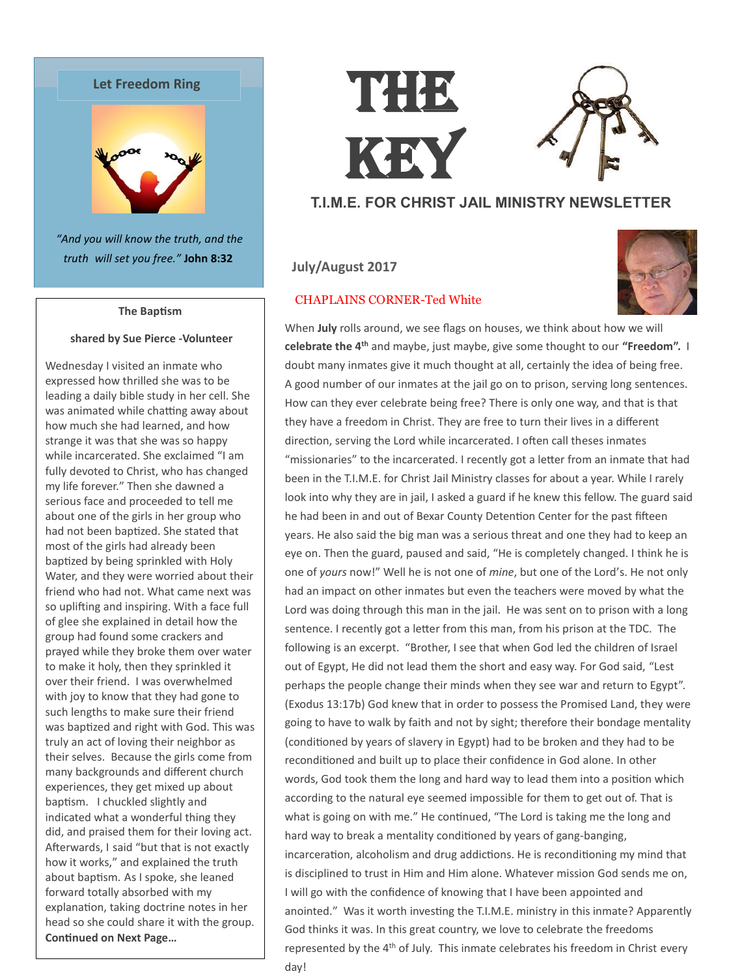



*"And you will know the truth, and the truth will set you free."* **John 8:32**

#### **The Baptism**

## **shared by Sue Pierce -Volunteer**

Wednesday I visited an inmate who expressed how thrilled she was to be leading a daily bible study in her cell. She was animated while chatting away about how much she had learned, and how strange it was that she was so happy while incarcerated. She exclaimed "I am fully devoted to Christ, who has changed my life forever." Then she dawned a serious face and proceeded to tell me about one of the girls in her group who had not been baptized. She stated that most of the girls had already been baptized by being sprinkled with Holy Water, and they were worried about their friend who had not. What came next was so uplifting and inspiring. With a face full of glee she explained in detail how the group had found some crackers and prayed while they broke them over water to make it holy, then they sprinkled it over their friend. I was overwhelmed with joy to know that they had gone to such lengths to make sure their friend was baptized and right with God. This was truly an act of loving their neighbor as their selves. Because the girls come from many backgrounds and different church experiences, they get mixed up about baptism. I chuckled slightly and indicated what a wonderful thing they did, and praised them for their loving act. Afterwards, I said "but that is not exactly how it works," and explained the truth about baptism. As I spoke, she leaned forward totally absorbed with my explanation, taking doctrine notes in her head so she could share it with the group. **Continued on Next Page…**

# THE KEY

## **T.I.M.E. FOR CHRIST JAIL MINISTRY NEWSLETTER**

## **July/August 2017**

## CHAPLAINS CORNER-Ted White



When **July** rolls around, we see flags on houses, we think about how we will **celebrate the 4th** and maybe, just maybe, give some thought to our **"Freedom".** I doubt many inmates give it much thought at all, certainly the idea of being free. A good number of our inmates at the jail go on to prison, serving long sentences. How can they ever celebrate being free? There is only one way, and that is that they have a freedom in Christ. They are free to turn their lives in a different direction, serving the Lord while incarcerated. I often call theses inmates "missionaries" to the incarcerated. I recently got a letter from an inmate that had been in the T.I.M.E. for Christ Jail Ministry classes for about a year. While I rarely look into why they are in jail, I asked a guard if he knew this fellow. The guard said he had been in and out of Bexar County Detention Center for the past fifteen years. He also said the big man was a serious threat and one they had to keep an eye on. Then the guard, paused and said, "He is completely changed. I think he is one of *yours* now!" Well he is not one of *mine*, but one of the Lord's. He not only had an impact on other inmates but even the teachers were moved by what the Lord was doing through this man in the jail. He was sent on to prison with a long sentence. I recently got a letter from this man, from his prison at the TDC. The following is an excerpt. "Brother, I see that when God led the children of Israel out of Egypt, He did not lead them the short and easy way. For God said, "Lest perhaps the people change their minds when they see war and return to Egypt". (Exodus 13:17b) God knew that in order to possess the Promised Land, they were going to have to walk by faith and not by sight; therefore their bondage mentality (conditioned by years of slavery in Egypt) had to be broken and they had to be reconditioned and built up to place their confidence in God alone. In other words, God took them the long and hard way to lead them into a position which according to the natural eye seemed impossible for them to get out of. That is what is going on with me." He continued, "The Lord is taking me the long and hard way to break a mentality conditioned by years of gang-banging, incarceration, alcoholism and drug addictions. He is reconditioning my mind that is disciplined to trust in Him and Him alone. Whatever mission God sends me on, I will go with the confidence of knowing that I have been appointed and anointed." Was it worth investing the T.I.M.E. ministry in this inmate? Apparently God thinks it was. In this great country, we love to celebrate the freedoms represented by the 4<sup>th</sup> of July. This inmate celebrates his freedom in Christ every day!